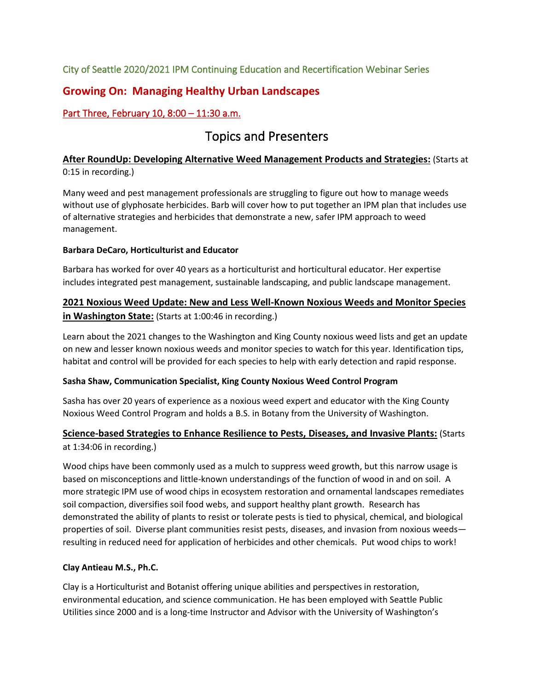City of Seattle 2020/2021 IPM Continuing Education and Recertification Webinar Series

## **Growing On: Managing Healthy Urban Landscapes**

## Part Three, February 10, 8:00 – 11:30 a.m.

## Topics and Presenters

### **After RoundUp: Developing Alternative Weed Management Products and Strategies:** (Starts at 0:15 in recording.)

Many weed and pest management professionals are struggling to figure out how to manage weeds without use of glyphosate herbicides. Barb will cover how to put together an IPM plan that includes use of alternative strategies and herbicides that demonstrate a new, safer IPM approach to weed management.

#### **Barbara DeCaro, Horticulturist and Educator**

Barbara has worked for over 40 years as a horticulturist and horticultural educator. Her expertise includes integrated pest management, sustainable landscaping, and public landscape management.

## **2021 Noxious Weed Update: New and Less Well-Known Noxious Weeds and Monitor Species in Washington State:** (Starts at 1:00:46 in recording.)

Learn about the 2021 changes to the Washington and King County noxious weed lists and get an update on new and lesser known noxious weeds and monitor species to watch for this year. Identification tips, habitat and control will be provided for each species to help with early detection and rapid response.

#### **Sasha Shaw, Communication Specialist, King County Noxious Weed Control Program**

Sasha has over 20 years of experience as a noxious weed expert and educator with the King County Noxious Weed Control Program and holds a B.S. in Botany from the University of Washington.

#### **Science-based Strategies to Enhance Resilience to Pests, Diseases, and Invasive Plants:** (Starts at 1:34:06 in recording.)

Wood chips have been commonly used as a mulch to suppress weed growth, but this narrow usage is based on misconceptions and little-known understandings of the function of wood in and on soil. A more strategic IPM use of wood chips in ecosystem restoration and ornamental landscapes remediates soil compaction, diversifies soil food webs, and support healthy plant growth. Research has demonstrated the ability of plants to resist or tolerate pests is tied to physical, chemical, and biological properties of soil. Diverse plant communities resist pests, diseases, and invasion from noxious weeds resulting in reduced need for application of herbicides and other chemicals. Put wood chips to work!

#### **Clay Antieau M.S., Ph.C.**

Clay is a Horticulturist and Botanist offering unique abilities and perspectives in restoration, environmental education, and science communication. He has been employed with Seattle Public Utilities since 2000 and is a long-time Instructor and Advisor with the University of Washington's